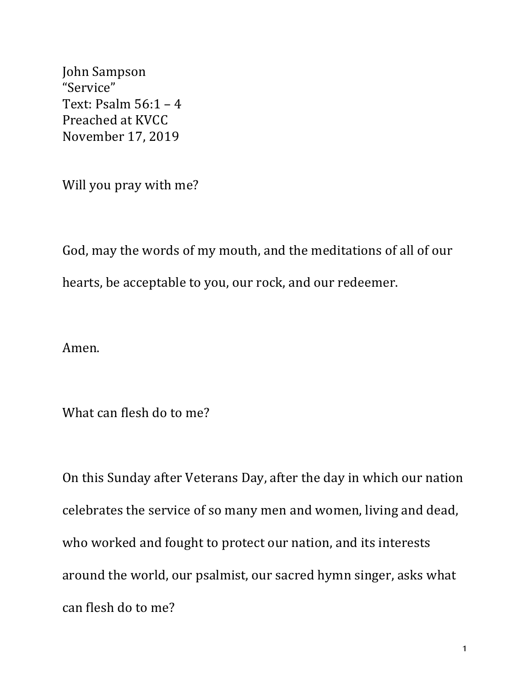John Sampson "Service" Text: Psalm  $56:1 - 4$ Preached at KVCC November 17, 2019

Will you pray with me?

God, may the words of my mouth, and the meditations of all of our hearts, be acceptable to you, our rock, and our redeemer.

Amen.

What can flesh do to me?

On this Sunday after Veterans Day, after the day in which our nation celebrates the service of so many men and women, living and dead, who worked and fought to protect our nation, and its interests around the world, our psalmist, our sacred hymn singer, asks what can flesh do to me?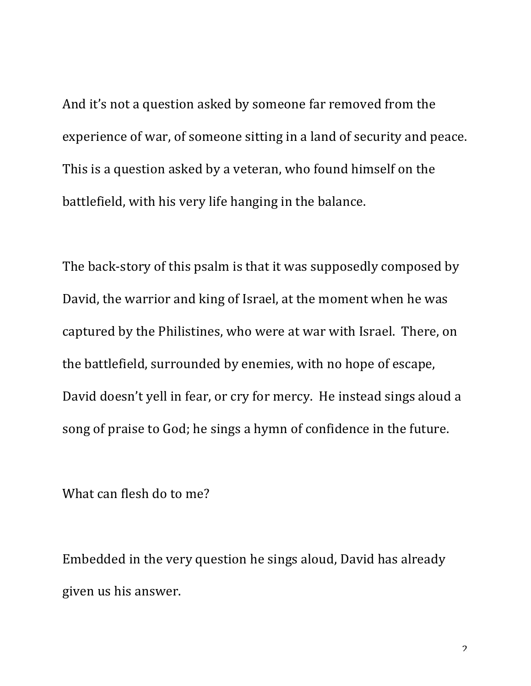And it's not a question asked by someone far removed from the experience of war, of someone sitting in a land of security and peace. This is a question asked by a veteran, who found himself on the battlefield, with his very life hanging in the balance.

The back-story of this psalm is that it was supposedly composed by David, the warrior and king of Israel, at the moment when he was captured by the Philistines, who were at war with Israel. There, on the battlefield, surrounded by enemies, with no hope of escape, David doesn't yell in fear, or cry for mercy. He instead sings aloud a song of praise to God; he sings a hymn of confidence in the future.

What can flesh do to me?

Embedded in the very question he sings aloud, David has already given us his answer.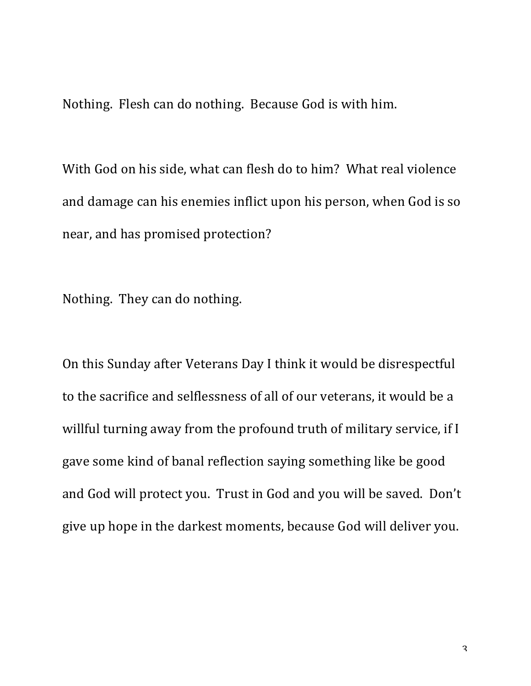Nothing. Flesh can do nothing. Because God is with him.

With God on his side, what can flesh do to him? What real violence and damage can his enemies inflict upon his person, when God is so near, and has promised protection?

Nothing. They can do nothing.

On this Sunday after Veterans Day I think it would be disrespectful to the sacrifice and selflessness of all of our veterans, it would be a willful turning away from the profound truth of military service, if I gave some kind of banal reflection saying something like be good and God will protect you. Trust in God and you will be saved. Don't give up hope in the darkest moments, because God will deliver you.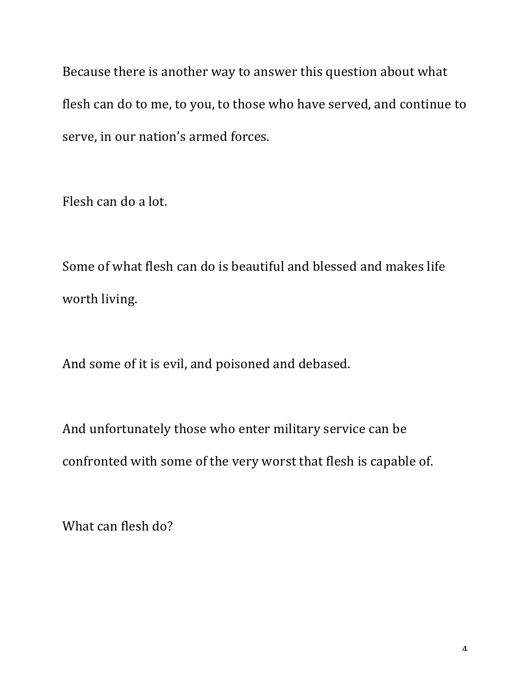Because there is another way to answer this question about what flesh can do to me, to you, to those who have served, and continue to serve, in our nation's armed forces.

Flesh can do a lot.

Some of what flesh can do is beautiful and blessed and makes life worth living.

And some of it is evil, and poisoned and debased.

And unfortunately those who enter military service can be confronted with some of the very worst that flesh is capable of.

What can flesh do?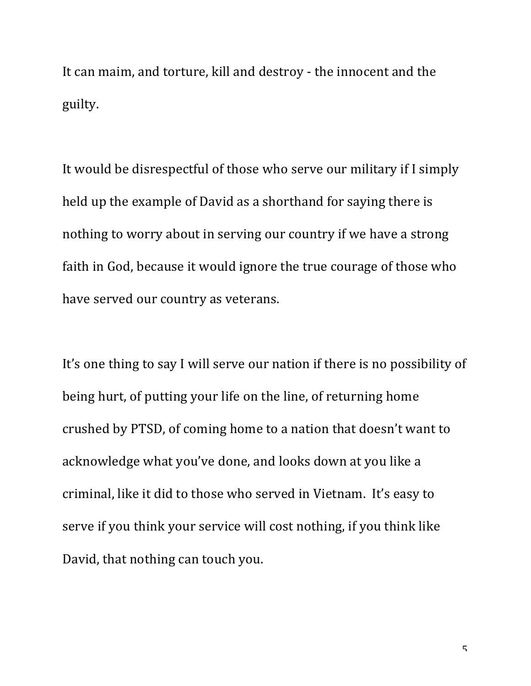It can maim, and torture, kill and destroy - the innocent and the guilty.

It would be disrespectful of those who serve our military if I simply held up the example of David as a shorthand for saying there is nothing to worry about in serving our country if we have a strong faith in God, because it would ignore the true courage of those who have served our country as veterans.

It's one thing to say I will serve our nation if there is no possibility of being hurt, of putting your life on the line, of returning home crushed by PTSD, of coming home to a nation that doesn't want to acknowledge what you've done, and looks down at you like a criminal, like it did to those who served in Vietnam. It's easy to serve if you think your service will cost nothing, if you think like David, that nothing can touch you.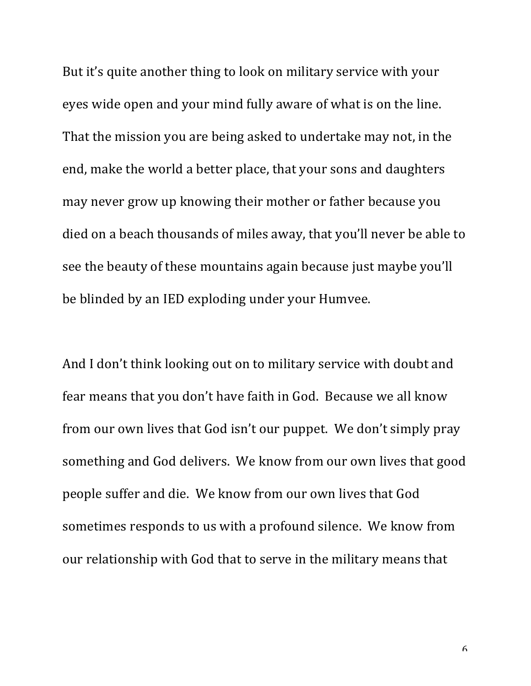But it's quite another thing to look on military service with your eyes wide open and your mind fully aware of what is on the line. That the mission you are being asked to undertake may not, in the end, make the world a better place, that your sons and daughters may never grow up knowing their mother or father because you died on a beach thousands of miles away, that you'll never be able to see the beauty of these mountains again because just maybe you'll be blinded by an IED exploding under your Humvee.

And I don't think looking out on to military service with doubt and fear means that you don't have faith in God. Because we all know from our own lives that God isn't our puppet. We don't simply pray something and God delivers. We know from our own lives that good people suffer and die. We know from our own lives that God sometimes responds to us with a profound silence. We know from our relationship with God that to serve in the military means that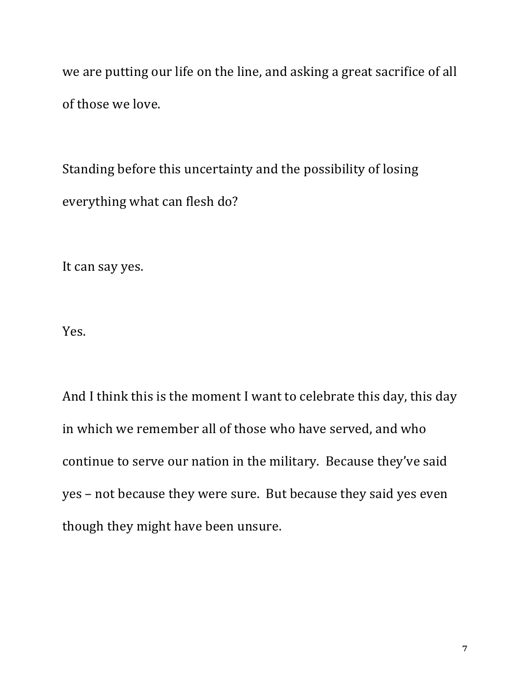we are putting our life on the line, and asking a great sacrifice of all of those we love.

Standing before this uncertainty and the possibility of losing everything what can flesh do?

It can say yes.

Yes.

And I think this is the moment I want to celebrate this day, this day in which we remember all of those who have served, and who continue to serve our nation in the military. Because they've said yes - not because they were sure. But because they said yes even though they might have been unsure.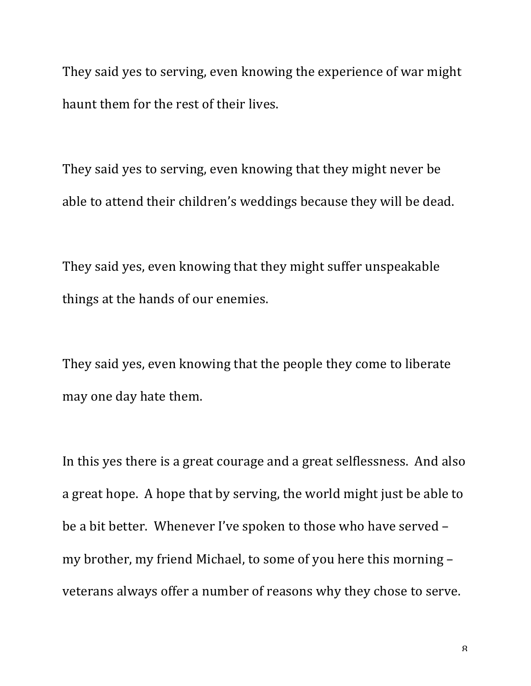They said yes to serving, even knowing the experience of war might haunt them for the rest of their lives.

They said yes to serving, even knowing that they might never be able to attend their children's weddings because they will be dead.

They said yes, even knowing that they might suffer unspeakable things at the hands of our enemies.

They said yes, even knowing that the people they come to liberate may one day hate them.

In this yes there is a great courage and a great selflessness. And also a great hope. A hope that by serving, the world might just be able to be a bit better. Whenever I've spoken to those who have served my brother, my friend Michael, to some of you here this morning veterans always offer a number of reasons why they chose to serve.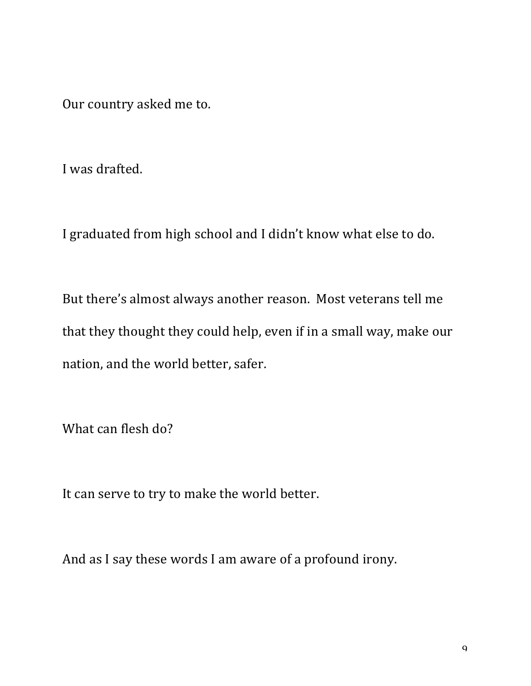Our country asked me to.

I was drafted.

I graduated from high school and I didn't know what else to do.

But there's almost always another reason. Most veterans tell me that they thought they could help, even if in a small way, make our nation, and the world better, safer.

What can flesh do?

It can serve to try to make the world better.

And as I say these words I am aware of a profound irony.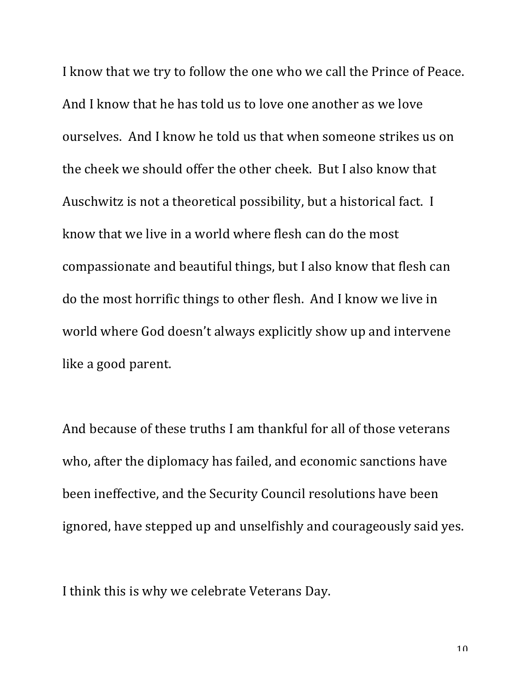I know that we try to follow the one who we call the Prince of Peace. And I know that he has told us to love one another as we love ourselves. And I know he told us that when someone strikes us on the cheek we should offer the other cheek. But I also know that Auschwitz is not a theoretical possibility, but a historical fact. I know that we live in a world where flesh can do the most compassionate and beautiful things, but I also know that flesh can do the most horrific things to other flesh. And I know we live in world where God doesn't always explicitly show up and intervene like a good parent.

And because of these truths I am thankful for all of those veterans who, after the diplomacy has failed, and economic sanctions have been ineffective, and the Security Council resolutions have been ignored, have stepped up and unselfishly and courageously said yes.

I think this is why we celebrate Veterans Day.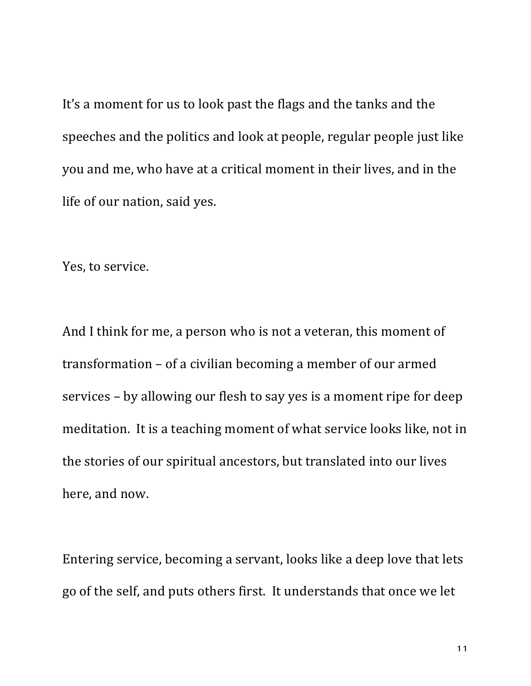It's a moment for us to look past the flags and the tanks and the speeches and the politics and look at people, regular people just like you and me, who have at a critical moment in their lives, and in the life of our nation, said yes.

Yes, to service.

And I think for me, a person who is not a veteran, this moment of transformation - of a civilian becoming a member of our armed services – by allowing our flesh to say yes is a moment ripe for deep meditation. It is a teaching moment of what service looks like, not in the stories of our spiritual ancestors, but translated into our lives here, and now.

Entering service, becoming a servant, looks like a deep love that lets go of the self, and puts others first. It understands that once we let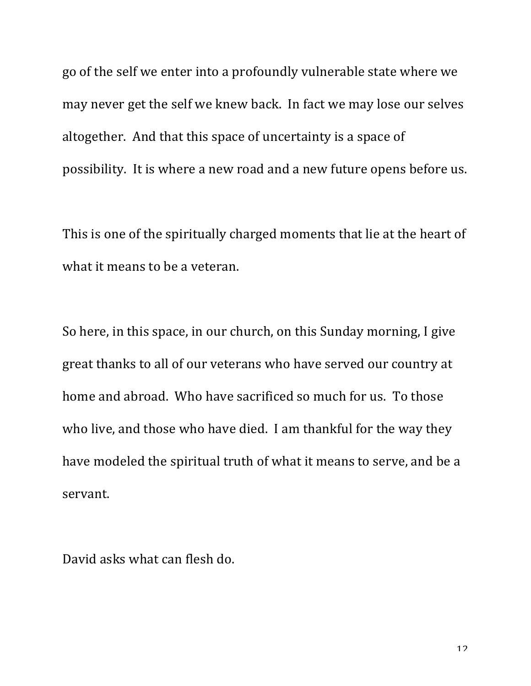go of the self we enter into a profoundly vulnerable state where we may never get the self we knew back. In fact we may lose our selves altogether. And that this space of uncertainty is a space of possibility. It is where a new road and a new future opens before us.

This is one of the spiritually charged moments that lie at the heart of what it means to be a veteran.

So here, in this space, in our church, on this Sunday morning, I give great thanks to all of our veterans who have served our country at home and abroad. Who have sacrificed so much for us. To those who live, and those who have died. I am thankful for the way they have modeled the spiritual truth of what it means to serve, and be a servant. 

David asks what can flesh do.